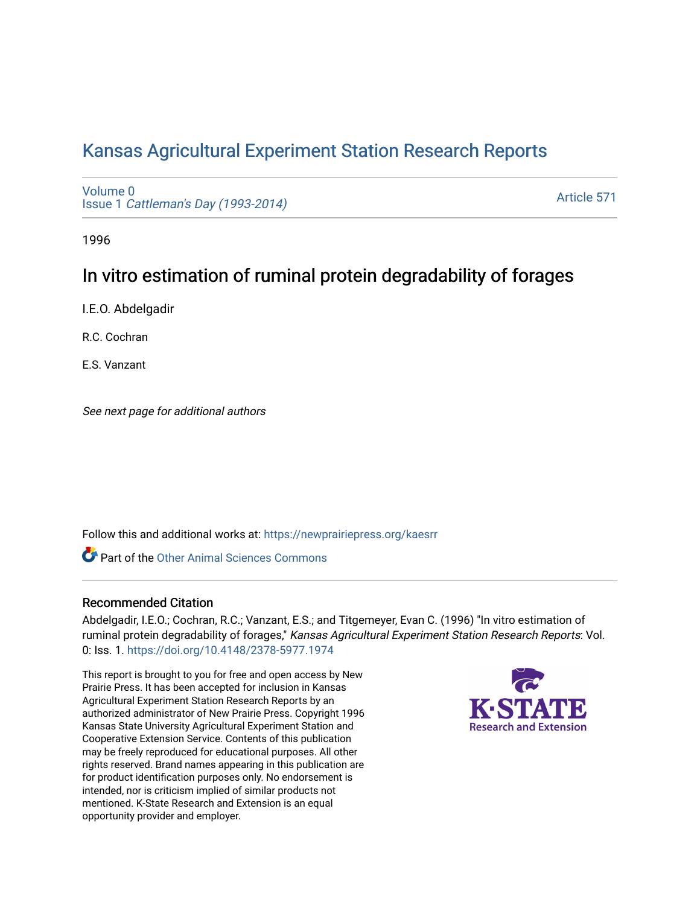# [Kansas Agricultural Experiment Station Research Reports](https://newprairiepress.org/kaesrr)

[Volume 0](https://newprairiepress.org/kaesrr/vol0) Issue 1 [Cattleman's Day \(1993-2014\)](https://newprairiepress.org/kaesrr/vol0/iss1) 

[Article 571](https://newprairiepress.org/kaesrr/vol0/iss1/571) 

1996

## In vitro estimation of ruminal protein degradability of forages

I.E.O. Abdelgadir

R.C. Cochran

E.S. Vanzant

See next page for additional authors

Follow this and additional works at: [https://newprairiepress.org/kaesrr](https://newprairiepress.org/kaesrr?utm_source=newprairiepress.org%2Fkaesrr%2Fvol0%2Fiss1%2F571&utm_medium=PDF&utm_campaign=PDFCoverPages) 

**C** Part of the [Other Animal Sciences Commons](http://network.bepress.com/hgg/discipline/82?utm_source=newprairiepress.org%2Fkaesrr%2Fvol0%2Fiss1%2F571&utm_medium=PDF&utm_campaign=PDFCoverPages)

## Recommended Citation

Abdelgadir, I.E.O.; Cochran, R.C.; Vanzant, E.S.; and Titgemeyer, Evan C. (1996) "In vitro estimation of ruminal protein degradability of forages," Kansas Agricultural Experiment Station Research Reports: Vol. 0: Iss. 1.<https://doi.org/10.4148/2378-5977.1974>

This report is brought to you for free and open access by New Prairie Press. It has been accepted for inclusion in Kansas Agricultural Experiment Station Research Reports by an authorized administrator of New Prairie Press. Copyright 1996 Kansas State University Agricultural Experiment Station and Cooperative Extension Service. Contents of this publication may be freely reproduced for educational purposes. All other rights reserved. Brand names appearing in this publication are for product identification purposes only. No endorsement is intended, nor is criticism implied of similar products not mentioned. K-State Research and Extension is an equal opportunity provider and employer.

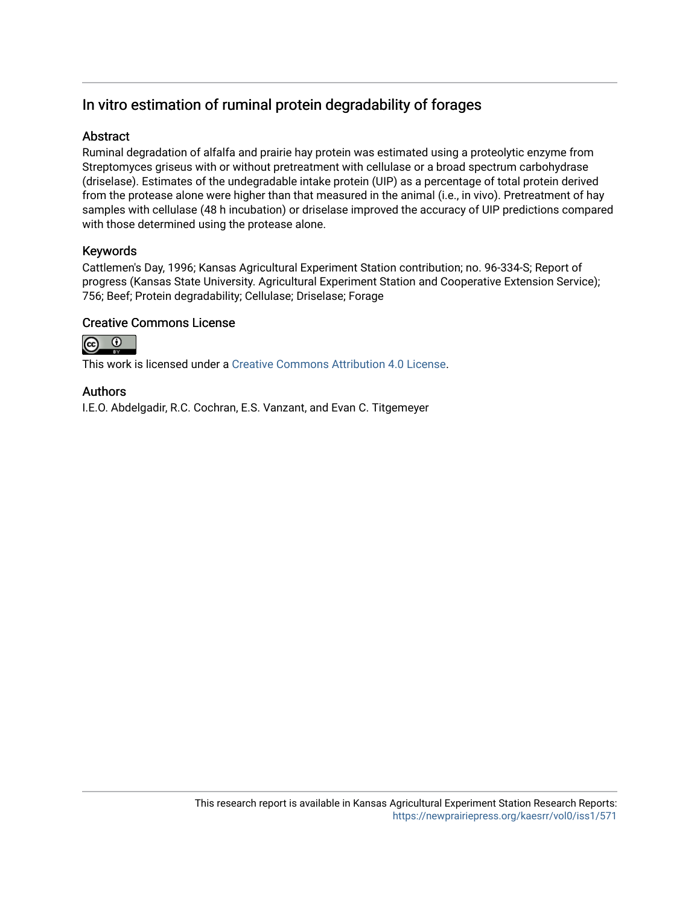## In vitro estimation of ruminal protein degradability of forages

## Abstract

Ruminal degradation of alfalfa and prairie hay protein was estimated using a proteolytic enzyme from Streptomyces griseus with or without pretreatment with cellulase or a broad spectrum carbohydrase (driselase). Estimates of the undegradable intake protein (UIP) as a percentage of total protein derived from the protease alone were higher than that measured in the animal (i.e., in vivo). Pretreatment of hay samples with cellulase (48 h incubation) or driselase improved the accuracy of UIP predictions compared with those determined using the protease alone.

## Keywords

Cattlemen's Day, 1996; Kansas Agricultural Experiment Station contribution; no. 96-334-S; Report of progress (Kansas State University. Agricultural Experiment Station and Cooperative Extension Service); 756; Beef; Protein degradability; Cellulase; Driselase; Forage

## Creative Commons License



This work is licensed under a [Creative Commons Attribution 4.0 License](https://creativecommons.org/licenses/by/4.0/).

## Authors

I.E.O. Abdelgadir, R.C. Cochran, E.S. Vanzant, and Evan C. Titgemeyer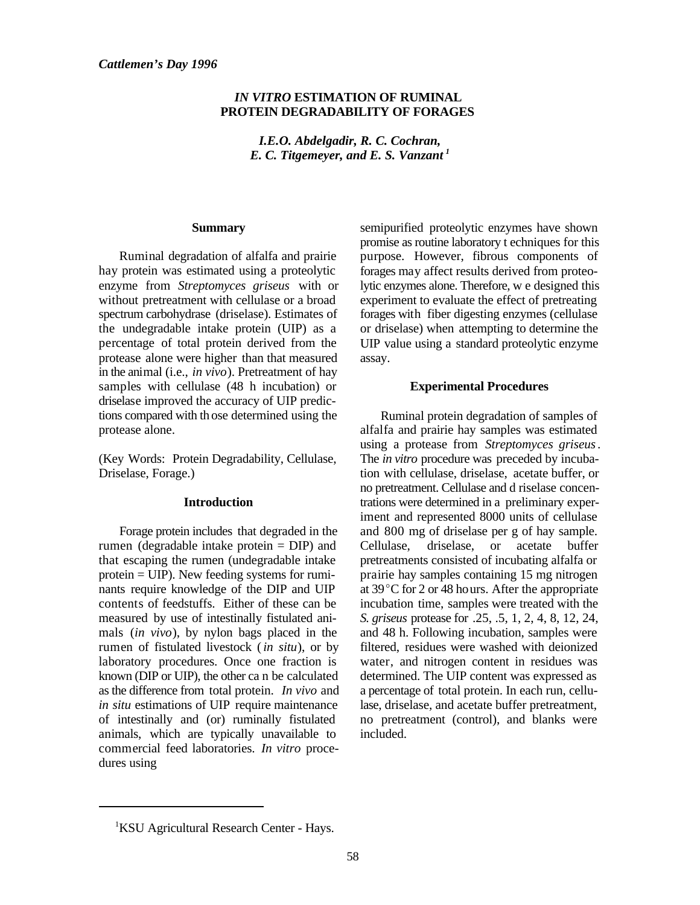#### *IN VITRO* **ESTIMATION OF RUMINAL PROTEIN DEGRADABILITY OF FORAGES**

*I.E.O. Abdelgadir, R. C. Cochran, E. C. Titgemeyer, and E. S. Vanzant <sup>1</sup>*

#### **Summary**

Ruminal degradation of alfalfa and prairie hay protein was estimated using a proteolytic enzyme from *Streptomyces griseus* with or without pretreatment with cellulase or a broad spectrum carbohydrase (driselase). Estimates of the undegradable intake protein (UIP) as a percentage of total protein derived from the protease alone were higher than that measured in the animal (i.e., *in vivo*). Pretreatment of hay samples with cellulase (48 h incubation) or driselase improved the accuracy of UIP predictions compared with th ose determined using the protease alone.

(Key Words: Protein Degradability, Cellulase, Driselase, Forage.)

#### **Introduction**

Forage protein includes that degraded in the rumen (degradable intake protein = DIP) and that escaping the rumen (undegradable intake protein = UIP). New feeding systems for ruminants require knowledge of the DIP and UIP contents of feedstuffs. Either of these can be measured by use of intestinally fistulated animals (*in vivo*), by nylon bags placed in the rumen of fistulated livestock (*in situ*), or by laboratory procedures. Once one fraction is known (DIP or UIP), the other ca n be calculated as the difference from total protein. *In vivo* and *in situ* estimations of UIP require maintenance of intestinally and (or) ruminally fistulated animals, which are typically unavailable to commercial feed laboratories. *In vitro* procedures using

semipurified proteolytic enzymes have shown promise as routine laboratory t echniques for this purpose. However, fibrous components of forages may affect results derived from proteolytic enzymes alone. Therefore, w e designed this experiment to evaluate the effect of pretreating forages with fiber digesting enzymes (cellulase or driselase) when attempting to determine the UIP value using a standard proteolytic enzyme assay.

#### **Experimental Procedures**

Ruminal protein degradation of samples of alfalfa and prairie hay samples was estimated using a protease from *Streptomyces griseus*. The *in vitro* procedure was preceded by incubation with cellulase, driselase, acetate buffer, or no pretreatment. Cellulase and d riselase concentrations were determined in a preliminary experiment and represented 8000 units of cellulase and 800 mg of driselase per g of hay sample. Cellulase, driselase, or acetate buffer pretreatments consisted of incubating alfalfa or prairie hay samples containing 15 mg nitrogen at  $39^{\circ}$ C for 2 or 48 hours. After the appropriate incubation time, samples were treated with the *S. griseus* protease for .25, .5, 1, 2, 4, 8, 12, 24, and 48 h. Following incubation, samples were filtered, residues were washed with deionized water, and nitrogen content in residues was determined. The UIP content was expressed as a percentage of total protein. In each run, cellulase, driselase, and acetate buffer pretreatment, no pretreatment (control), and blanks were included.

<sup>&</sup>lt;sup>1</sup>KSU Agricultural Research Center - Hays.